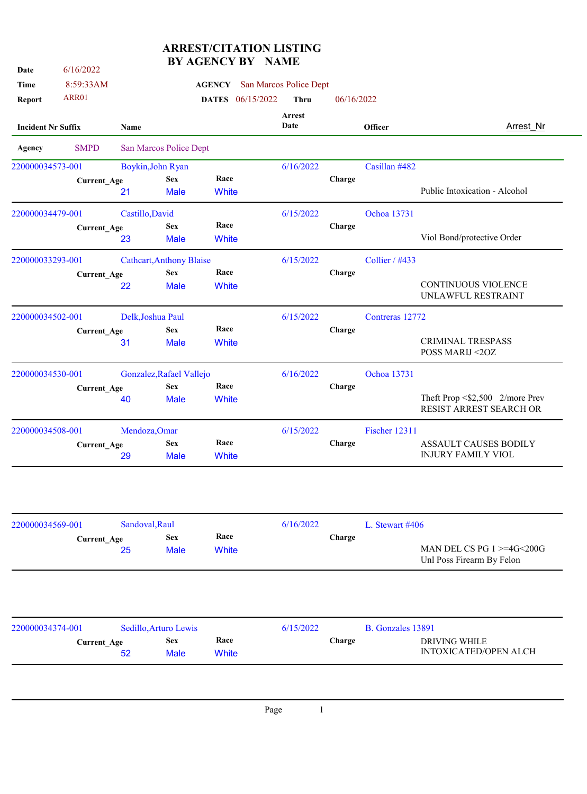| Date                      | 6/16/2022          |                   |                                 |               | <b>ARREST/CITATION LISTING</b><br><b>BY AGENCY BY NAME</b> |                        |            |                 |                                                                |
|---------------------------|--------------------|-------------------|---------------------------------|---------------|------------------------------------------------------------|------------------------|------------|-----------------|----------------------------------------------------------------|
|                           |                    |                   |                                 |               |                                                            |                        |            |                 |                                                                |
| <b>Time</b>               | 8:59:33AM          |                   |                                 | <b>AGENCY</b> |                                                            | San Marcos Police Dept |            |                 |                                                                |
| Report                    | ARR01              |                   |                                 |               | <b>DATES</b> 06/15/2022                                    | <b>Thru</b>            | 06/16/2022 |                 |                                                                |
| <b>Incident Nr Suffix</b> |                    | <b>Name</b>       |                                 |               |                                                            | Arrest<br>Date         |            | Officer         | Arrest Nr                                                      |
| Agency                    | <b>SMPD</b>        |                   | San Marcos Police Dept          |               |                                                            |                        |            |                 |                                                                |
| 220000034573-001          |                    |                   | Boykin, John Ryan               |               |                                                            | 6/16/2022              |            | Casillan #482   |                                                                |
|                           | <b>Current_Age</b> |                   | <b>Sex</b>                      | Race          |                                                            |                        | Charge     |                 |                                                                |
|                           |                    | 21                | <b>Male</b>                     | <b>White</b>  |                                                            |                        |            |                 | Public Intoxication - Alcohol                                  |
| 220000034479-001          |                    | Castillo, David   |                                 |               |                                                            | 6/15/2022              |            | Ochoa 13731     |                                                                |
|                           | <b>Current_Age</b> |                   | <b>Sex</b>                      | Race          |                                                            |                        | Charge     |                 |                                                                |
|                           |                    | 23                | <b>Male</b>                     | <b>White</b>  |                                                            |                        |            |                 | Viol Bond/protective Order                                     |
| 220000033293-001          |                    |                   | <b>Cathcart, Anthony Blaise</b> |               |                                                            | 6/15/2022              |            | Collier / #433  |                                                                |
|                           | <b>Current Age</b> |                   | <b>Sex</b>                      | Race          |                                                            |                        | Charge     |                 |                                                                |
|                           |                    | 22                | <b>Male</b>                     | <b>White</b>  |                                                            |                        |            |                 | <b>CONTINUOUS VIOLENCE</b><br>UNLAWFUL RESTRAINT               |
| 220000034502-001          |                    | Delk, Joshua Paul |                                 |               |                                                            | 6/15/2022              |            | Contreras 12772 |                                                                |
|                           | <b>Current_Age</b> |                   | <b>Sex</b>                      | Race          |                                                            |                        | Charge     |                 |                                                                |
|                           |                    | 31                | <b>Male</b>                     | White         |                                                            |                        |            |                 | <b>CRIMINAL TRESPASS</b><br>POSS MARIJ <20Z                    |
| 220000034530-001          |                    |                   | Gonzalez, Rafael Vallejo        |               |                                                            | 6/16/2022              |            | Ochoa 13731     |                                                                |
|                           | <b>Current_Age</b> |                   | <b>Sex</b>                      | Race          |                                                            |                        | Charge     |                 |                                                                |
|                           |                    | 40                | <b>Male</b>                     | White         |                                                            |                        |            |                 | Theft Prop $\leq 2,500$ 2/more Prev<br>RESIST ARREST SEARCH OR |
| 220000034508-001          |                    | Mendoza, Omar     |                                 |               |                                                            | 6/15/2022              |            | Fischer 12311   |                                                                |

| 220000034508-001<br>Mendoza, Omar |             |            |       | 6/15/2022 | Fischer 12311 |                              |
|-----------------------------------|-------------|------------|-------|-----------|---------------|------------------------------|
|                                   | Current Age | <b>Sex</b> | Race  | Charge    |               | <b>ASSAULT CAUSES BODILY</b> |
|                                   | 29          | Male       | White |           |               | <b>INJURY FAMILY VIOL</b>    |
|                                   |             |            |       |           |               |                              |

| 220000034569-001 |                    | Sandoval, Raul |                           |               | 6/16/2022 |        | L. Stewart $\#406$                                               |  |
|------------------|--------------------|----------------|---------------------------|---------------|-----------|--------|------------------------------------------------------------------|--|
|                  | <b>Current Age</b> | 25             | <b>Sex</b><br><b>Male</b> | Race<br>White |           | Charge | MAN DEL CS PG $1 > = 4$ G $< 200$ G<br>Unl Poss Firearm By Felon |  |
|                  |                    |                |                           |               |           |        |                                                                  |  |
| 220000034374-001 |                    |                | Sedillo, Arturo Lewis     |               | 6/15/2022 |        | B. Gonzales 13891                                                |  |
|                  | <b>Current_Age</b> | 52             | <b>Sex</b><br><b>Male</b> | Race<br>White |           | Charge | DRIVING WHILE<br><b>INTOXICATED/OPEN ALCH</b>                    |  |

Page 1